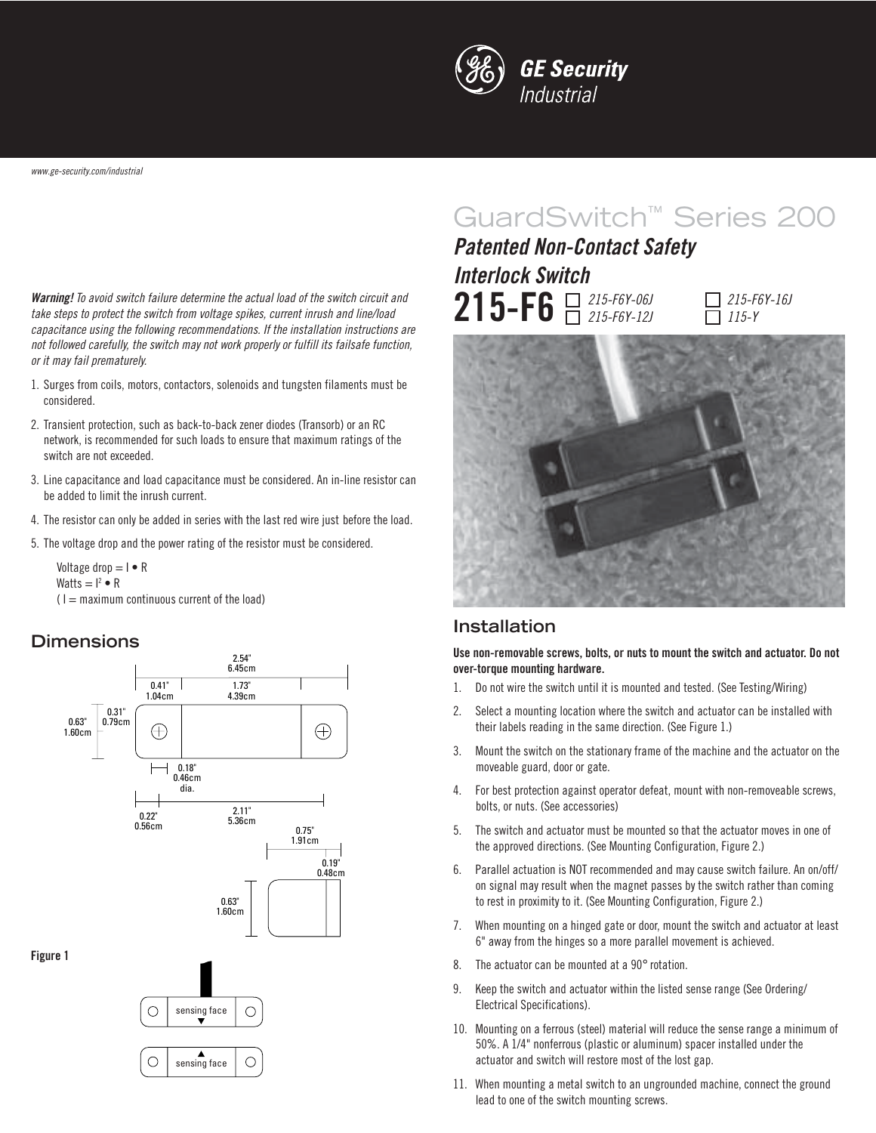

**Warning!** To avoid switch failure determine the actual load of the switch circuit and take steps to protect the switch from voltage spikes, current inrush and line/load capacitance using the following recommendations. If the installation instructions are not followed carefully, the switch may not work properly or fulfill its failsafe function, or it may fail prematurely.

- 1. Surges from coils, motors, contactors, solenoids and tungsten filaments must be considered.
- 2. Transient protection, such as back-to-back zener diodes (Transorb) or an RC network, is recommended for such loads to ensure that maximum ratings of the switch are not exceeded.
- 3. Line capacitance and load capacitance must be considered. An in-line resistor can be added to limit the inrush current.
- 4. The resistor can only be added in series with the last red wire just before the load.
- 5. The voltage drop and the power rating of the resistor must be considered.

#### **Dimensions**



# GuardSwitch™ Series 200

 $\prod_{215-F6Y-06J}$ **Patented Non-Contact Safety Interlock Switch**



 $7215 - F6Y - 16J$ 115-Y



#### **Installation**

**Use non-removable screws, bolts, or nuts to mount the switch and actuator. Do not over-torque mounting hardware.**

- 1. Do not wire the switch until it is mounted and tested. (See Testing/Wiring)
- 2. Select a mounting location where the switch and actuator can be installed with their labels reading in the same direction. (See Figure 1.)
- 3. Mount the switch on the stationary frame of the machine and the actuator on the moveable guard, door or gate.
- 4. For best protection against operator defeat, mount with non-removeable screws, bolts, or nuts. (See accessories)
- 5. The switch and actuator must be mounted so that the actuator moves in one of the approved directions. (See Mounting Configuration, Figure 2.)
- 6. Parallel actuation is NOT recommended and may cause switch failure. An on/off/ on signal may result when the magnet passes by the switch rather than coming to rest in proximity to it. (See Mounting Configuration, Figure 2.)
- 7. When mounting on a hinged gate or door, mount the switch and actuator at least 6" away from the hinges so a more parallel movement is achieved.
- 8. The actuator can be mounted at a 90° rotation.
- 9. Keep the switch and actuator within the listed sense range (See Ordering/ Electrical Specifications).
- 10. Mounting on a ferrous (steel) material will reduce the sense range a minimum of 50%. A 1/4" nonferrous (plastic or aluminum) spacer installed under the actuator and switch will restore most of the lost gap.
- 11. When mounting a metal switch to an ungrounded machine, connect the ground lead to one of the switch mounting screws.

Voltage drop  $= I \cdot R$ Watts  $= I^2 \bullet R$  $(1 =$  maximum continuous current of the load)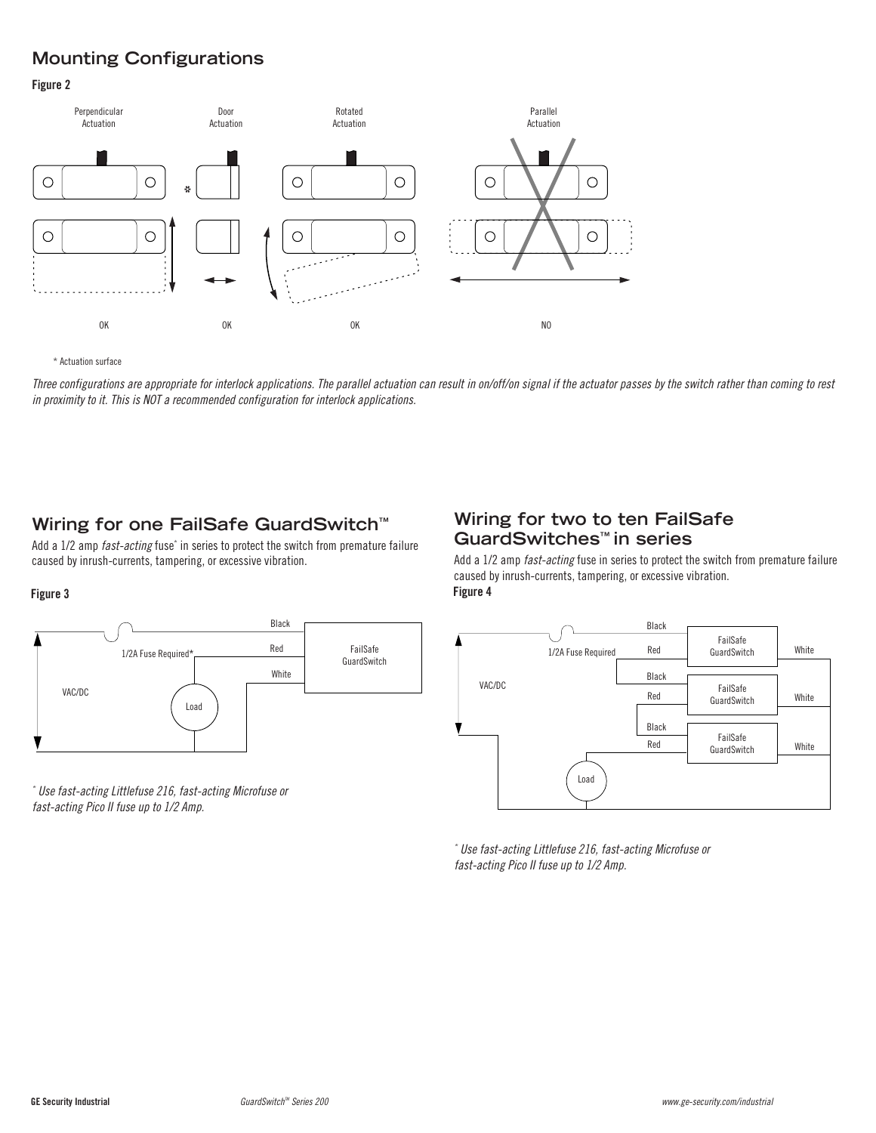# **Mounting Configurations**

#### **Figure 2**



\* Actuation surface

Three configurations are appropriate for interlock applications. The parallel actuation can result in on/off/on signal if the actuator passes by the switch rather than coming to rest in proximity to it. This is NOT a recommended configuration for interlock applications.

### **Wiring for one FailSafe GuardSwitch™**

Add a 1/2 amp *fast-acting* fuse<sup>\*</sup> in series to protect the switch from premature failure caused by inrush-currents, tampering, or excessive vibration.

#### **Figure 3 Figure 4**



\* Use fast-acting Littlefuse 216, fast-acting Microfuse or fast-acting Pico II fuse up to 1/2 Amp.

#### **Wiring for two to ten FailSafe GuardSwitches™ in series**

Add a 1/2 amp fast-acting fuse in series to protect the switch from premature failure caused by inrush-currents, tampering, or excessive vibration.



\* Use fast-acting Littlefuse 216, fast-acting Microfuse or fast-acting Pico II fuse up to 1/2 Amp.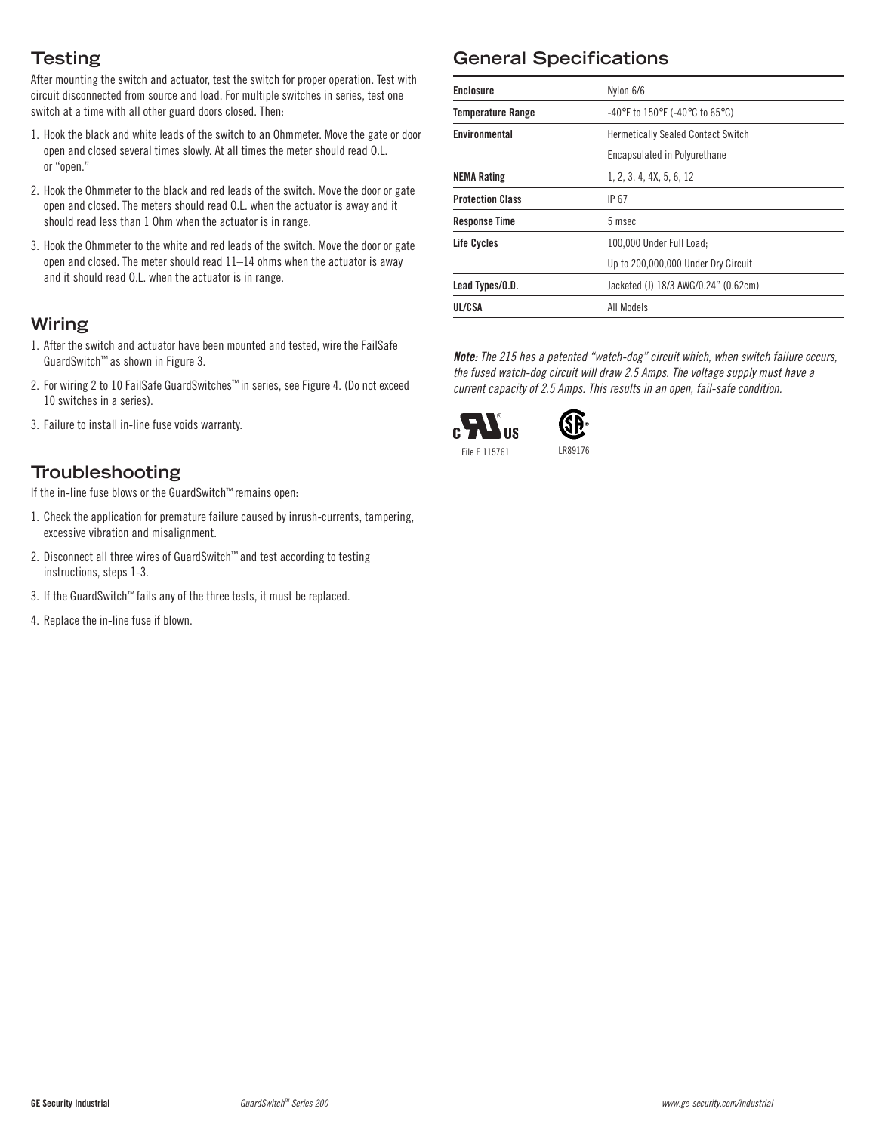# **Testing**

After mounting the switch and actuator, test the switch for proper operation. Test with circuit disconnected from source and load. For multiple switches in series, test one switch at a time with all other guard doors closed. Then:

- 1. Hook the black and white leads of the switch to an Ohmmeter. Move the gate or door open and closed several times slowly. At all times the meter should read O.L. or "open."
- 2. Hook the Ohmmeter to the black and red leads of the switch. Move the door or gate open and closed. The meters should read O.L. when the actuator is away and it should read less than 1 Ohm when the actuator is in range.
- 3. Hook the Ohmmeter to the white and red leads of the switch. Move the door or gate open and closed. The meter should read 11–14 ohms when the actuator is away and it should read O.L. when the actuator is in range.

### **Wiring**

- 1. After the switch and actuator have been mounted and tested, wire the FailSafe GuardSwitch™ as shown in Figure 3.
- 2. For wiring 2 to 10 FailSafe GuardSwitches™ in series, see Figure 4. (Do not exceed 10 switches in a series).
- 3. Failure to install in-line fuse voids warranty.

### **Troubleshooting**

If the in-line fuse blows or the GuardSwitch™ remains open:

- 1. Check the application for premature failure caused by inrush-currents, tampering, excessive vibration and misalignment.
- 2. Disconnect all three wires of GuardSwitch™ and test according to testing instructions, steps 1-3.
- 3. If the GuardSwitch™ fails any of the three tests, it must be replaced.
- 4. Replace the in-line fuse if blown.

# **General Specifications**

| <b>Enclosure</b>         | Nylon 6/6                                                                 |
|--------------------------|---------------------------------------------------------------------------|
| <b>Temperature Range</b> | $-40^{\circ}$ F to 150 $^{\circ}$ F (-40 $^{\circ}$ C to 65 $^{\circ}$ C) |
| Environmental            | <b>Hermetically Sealed Contact Switch</b>                                 |
|                          | Encapsulated in Polyurethane                                              |
| <b>NEMA Rating</b>       | 1, 2, 3, 4, 4X, 5, 6, 12                                                  |
| <b>Protection Class</b>  | IP 67                                                                     |
| <b>Response Time</b>     | 5 msec                                                                    |
| Life Cycles              | 100.000 Under Full Load:                                                  |
|                          | Up to 200,000,000 Under Dry Circuit                                       |
| Lead Types/O.D.          | Jacketed (J) 18/3 AWG/0.24" (0.62cm)                                      |
| UL/CSA                   | All Models                                                                |

**Note:** The 215 has a patented "watch-dog" circuit which, when switch failure occurs, the fused watch-dog circuit will draw 2.5 Amps. The voltage supply must have a current capacity of 2.5 Amps. This results in an open, fail-safe condition.